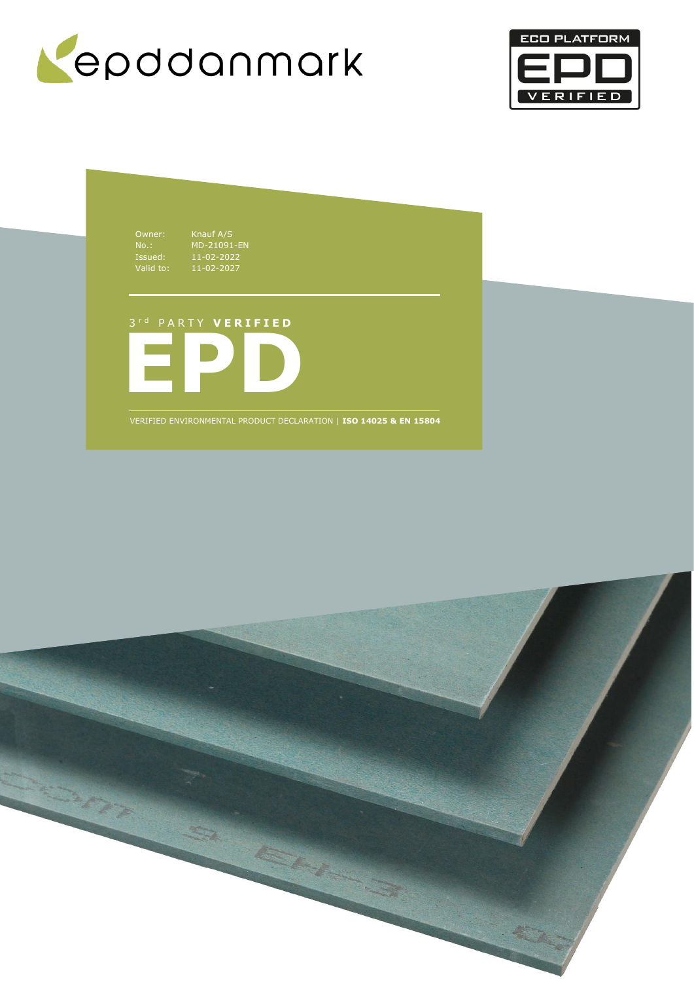



Owner: Knauf A/S Issued: 11-02-2022 Valid to: 11-02-2027

No.: MD-21091-EN

**EPD** 3 r d P A R T Y **V E R I F I E D**

VERIFIED ENVIRONMENTAL PRODUCT DECLARATION | **ISO 14025 & EN 15804**

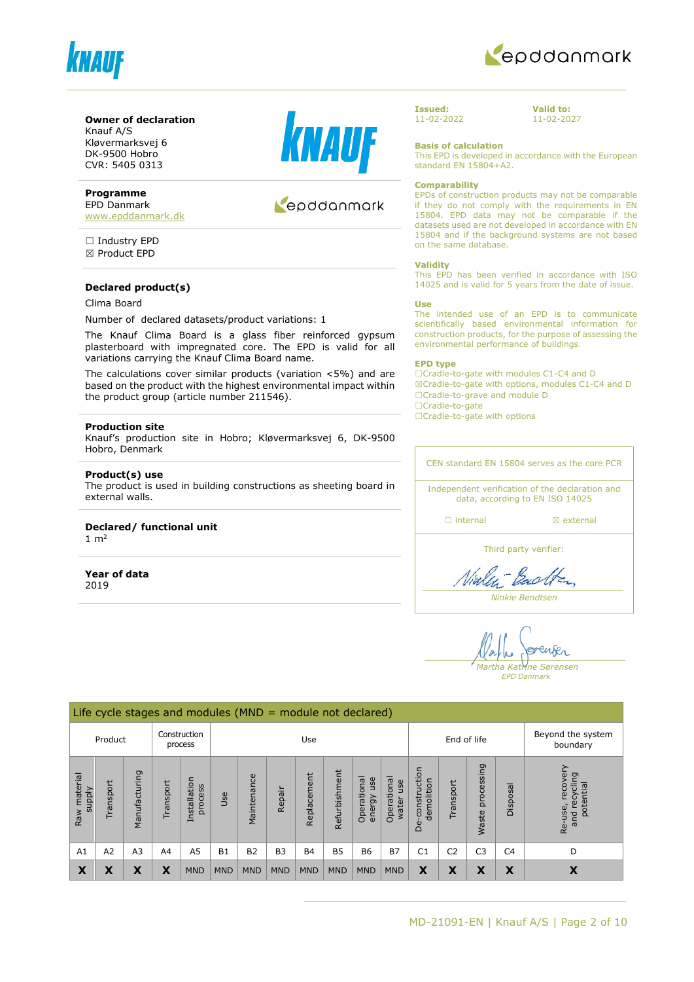



#### **Owner of declaration**

Knauf A/S Kløvermarksvej 6 DK-9500 Hobro CVR: 5405 0313

#### **Programme**

EPD Danmark [www.epddanmark.dk](http://www.epddanmark.dk/)

□ Industry EPD ☒ Product EPD

#### **Declared product(s)**

#### Clima Board

Number of declared datasets/product variations: 1

The Knauf Clima Board is a glass fiber reinforced gypsum plasterboard with impregnated core. The EPD is valid for all variations carrying the Knauf Clima Board name.

The calculations cover similar products (variation <5%) and are based on the product with the highest environmental impact within the product group (article number 211546).

#### **Production site**

Knauf's production site in Hobro; Kløvermarksvej 6, DK-9500 Hobro, Denmark

#### **Product(s) use**

The product is used in building constructions as sheeting board in external walls.

#### **Declared/ functional unit**

 $1 \text{ m}^2$ 

**Year of data** 2019



## Repodanmark

**Issued:** 11-02-2022 **Valid to:** 11-02-2027

**Basis of calculation**

This EPD is developed in accordance with the European standard EN 15804+A2.

#### **Comparability**

EPDs of construction products may not be comparable if they do not comply with the requirements in EN 15804. EPD data may not be comparable if the datasets used are not developed in accordance with EN 15804 and if the background systems are not based on the same database.

#### **Validity**

This EPD has been verified in accordance with ISO 14025 and is valid for 5 years from the date of issue.

#### **Use**

The intended use of an EPD is to communicate scientifically based environmental information for construction products, for the purpose of assessing the environmental performance of buildings.

#### **EPD type**

☐Cradle-to-gate with modules C1-C4 and D ☒Cradle-to-gate with options, modules C1-C4 and D ☐Cradle-to-grave and module D ☐Cradle-to-gate

□Cradle-to-gate with options

CEN standard EN 15804 serves as the core PCR Independent verification of the declaration and data, according to EN ISO 14025

□ internal **a** external

Third party verifier:

Viale - Bach

*Ninkie Bendtsen*

enser *Martha Katrine Sørensen*

*EPD Danmark*

|                                    | Life cycle stages and modules ( $MND =$ module not declared) |                |                |                         |            |             |                |             |               |                              |                             |                                 |                |                     |                |                                                         |
|------------------------------------|--------------------------------------------------------------|----------------|----------------|-------------------------|------------|-------------|----------------|-------------|---------------|------------------------------|-----------------------------|---------------------------------|----------------|---------------------|----------------|---------------------------------------------------------|
| Construction<br>Product<br>process |                                                              |                |                | Use                     |            |             |                |             | End of life   |                              |                             | Beyond the system<br>boundary   |                |                     |                |                                                         |
| Raw material<br><b>Alddns</b>      | ransport                                                     | Manufacturing  | Transport      | Installation<br>process | Use        | Maintenance | Repair         | Replacement | Refurbishment | Operational<br>use<br>energy | Operational<br>use<br>water | construction<br>demolition<br>த | Transport      | processing<br>Waste | Disposal       | recove<br>פּ<br>recyclin<br>potential<br>Re-use,<br>and |
| A1                                 | A <sub>2</sub>                                               | A <sub>3</sub> | A <sub>4</sub> | A <sub>5</sub>          | <b>B1</b>  | <b>B2</b>   | B <sub>3</sub> | <b>B4</b>   | <b>B5</b>     | <b>B6</b>                    | <b>B7</b>                   | C <sub>1</sub>                  | C <sub>2</sub> | C <sub>3</sub>      | C <sub>4</sub> | D                                                       |
| X                                  | X                                                            | X              | X              | <b>MND</b>              | <b>MND</b> | <b>MND</b>  | <b>MND</b>     | <b>MND</b>  | <b>MND</b>    | <b>MND</b>                   | <b>MND</b>                  | X                               | X              | X                   | X              | X                                                       |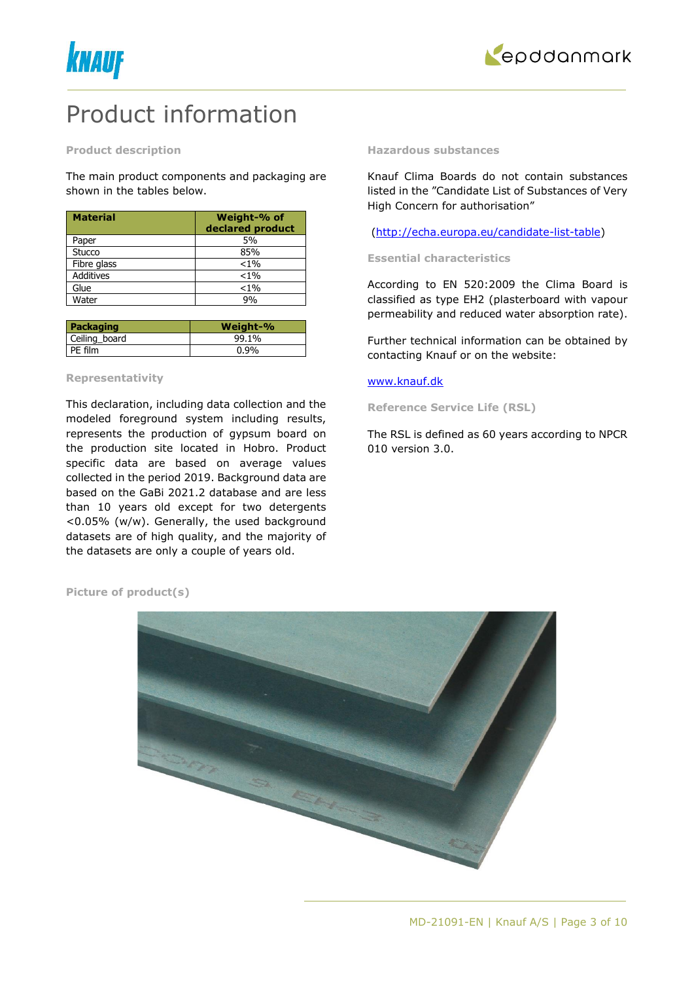



## Product information

#### **Product description**

The main product components and packaging are shown in the tables below.

| <b>Material</b>  | Weight-% of<br>declared product |
|------------------|---------------------------------|
| Paper            | 5%                              |
| Stucco           | 85%                             |
| Fibre glass      | $< 1\%$                         |
| <b>Additives</b> | $< 1\%$                         |
| Glue             | $< 1\%$                         |
| Water            | ዓ%                              |

| Packaging     | Weight-% |
|---------------|----------|
| Ceiling board | 99.1%    |
| PE film       | $0.9\%$  |

#### **Representativity**

This declaration, including data collection and the modeled foreground system including results, represents the production of gypsum board on the production site located in Hobro. Product specific data are based on average values collected in the period 2019. Background data are based on the GaBi 2021.2 database and are less than 10 years old except for two detergents <0.05% (w/w). Generally, the used background datasets are of high quality, and the majority of the datasets are only a couple of years old.

#### **Hazardous substances**

Knauf Clima Boards do not contain substances listed in the "Candidate List of Substances of Very High Concern for authorisation"

[\(http://echa.europa.eu/candidate-list-table\)](http://echa.europa.eu/candidate-list-table)

#### **Essential characteristics**

According to EN 520:2009 the Clima Board is classified as type EH2 (plasterboard with vapour permeability and reduced water absorption rate).

Further technical information can be obtained by contacting Knauf or on the website:

### [www.knauf.dk](http://www.knauf.dk/)

**Reference Service Life (RSL)**

The RSL is defined as 60 years according to NPCR 010 version 3.0.

**Picture of product(s)**

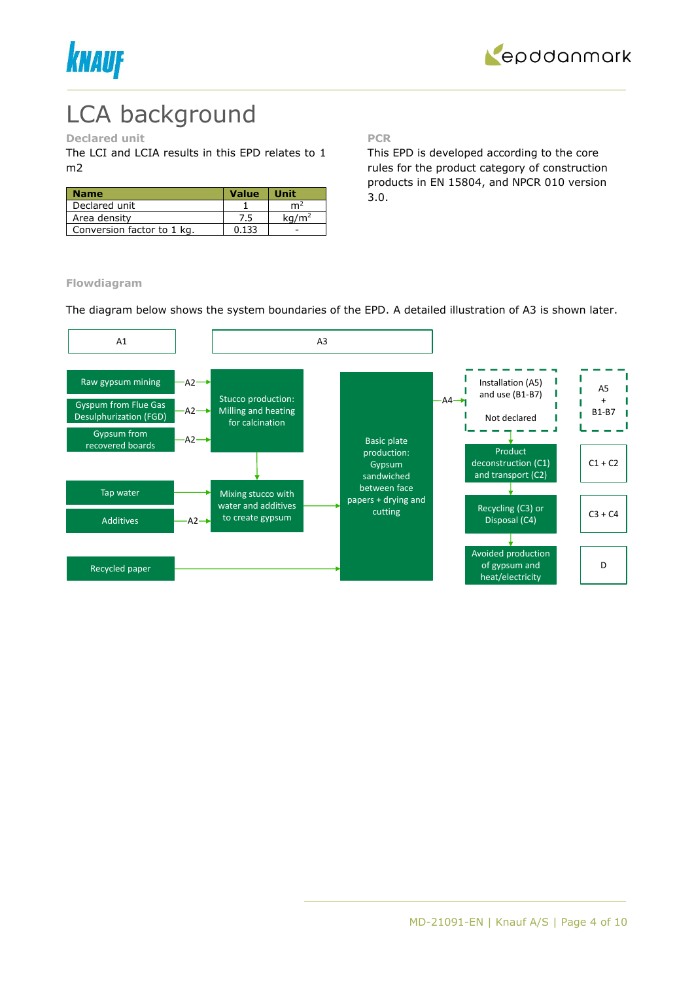



# LCA background

## **Declared unit**

The LCI and LCIA results in this EPD relates to 1 m2

| <b>Name</b>                | <b>Value</b> | <b>Unit</b>       |
|----------------------------|--------------|-------------------|
| Declared unit              |              | m4                |
| Area density               | 7.5          | ka/m <sup>2</sup> |
| Conversion factor to 1 kg. | 0.133        |                   |

**PCR**

This EPD is developed according to the core rules for the product category of construction products in EN 15804, and NPCR 010 version 3.0.

**Flowdiagram**

The diagram below shows the system boundaries of the EPD. A detailed illustration of A3 is shown later.

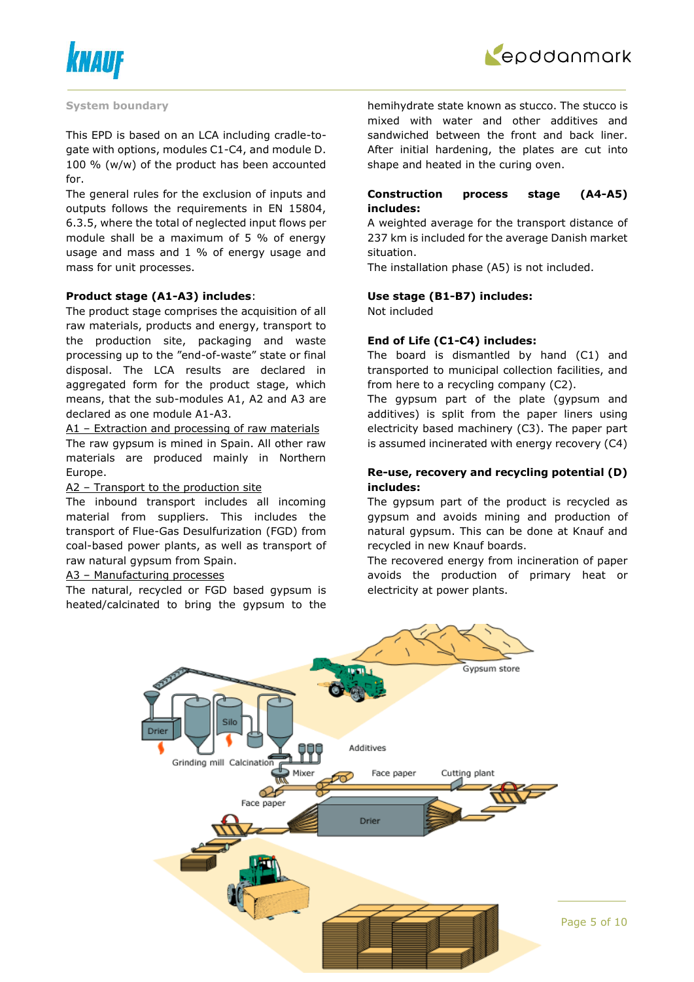



#### **System boundary**

This EPD is based on an LCA including cradle-togate with options, modules C1-C4, and module D. 100 % (w/w) of the product has been accounted for.

The general rules for the exclusion of inputs and outputs follows the requirements in EN 15804, 6.3.5, where the total of neglected input flows per module shall be a maximum of 5 % of energy usage and mass and 1 % of energy usage and mass for unit processes.

#### **Product stage (A1-A3) includes**:

The product stage comprises the acquisition of all raw materials, products and energy, transport to the production site, packaging and waste processing up to the "end-of-waste" state or final disposal. The LCA results are declared in aggregated form for the product stage, which means, that the sub-modules A1, A2 and A3 are declared as one module A1-A3.

A1 – Extraction and processing of raw materials The raw gypsum is mined in Spain. All other raw materials are produced mainly in Northern Europe.

#### A2 – Transport to the production site

The inbound transport includes all incoming material from suppliers. This includes the transport of Flue-Gas Desulfurization (FGD) from coal-based power plants, as well as transport of raw natural gypsum from Spain.

#### A3 – Manufacturing processes

The natural, recycled or FGD based gypsum is heated/calcinated to bring the gypsum to the

hemihydrate state known as stucco. The stucco is mixed with water and other additives and sandwiched between the front and back liner. After initial hardening, the plates are cut into shape and heated in the curing oven.

### **Construction process stage (A4-A5) includes:**

A weighted average for the transport distance of 237 km is included for the average Danish market situation.

The installation phase (A5) is not included.

#### **Use stage (B1-B7) includes:**

Not included

#### **End of Life (C1-C4) includes:**

The board is dismantled by hand (C1) and transported to municipal collection facilities, and from here to a recycling company (C2).

The gypsum part of the plate (gypsum and additives) is split from the paper liners using electricity based machinery (C3). The paper part is assumed incinerated with energy recovery (C4)

#### **Re-use, recovery and recycling potential (D) includes:**

The gypsum part of the product is recycled as gypsum and avoids mining and production of natural gypsum. This can be done at Knauf and recycled in new Knauf boards.

The recovered energy from incineration of paper avoids the production of primary heat or electricity at power plants.

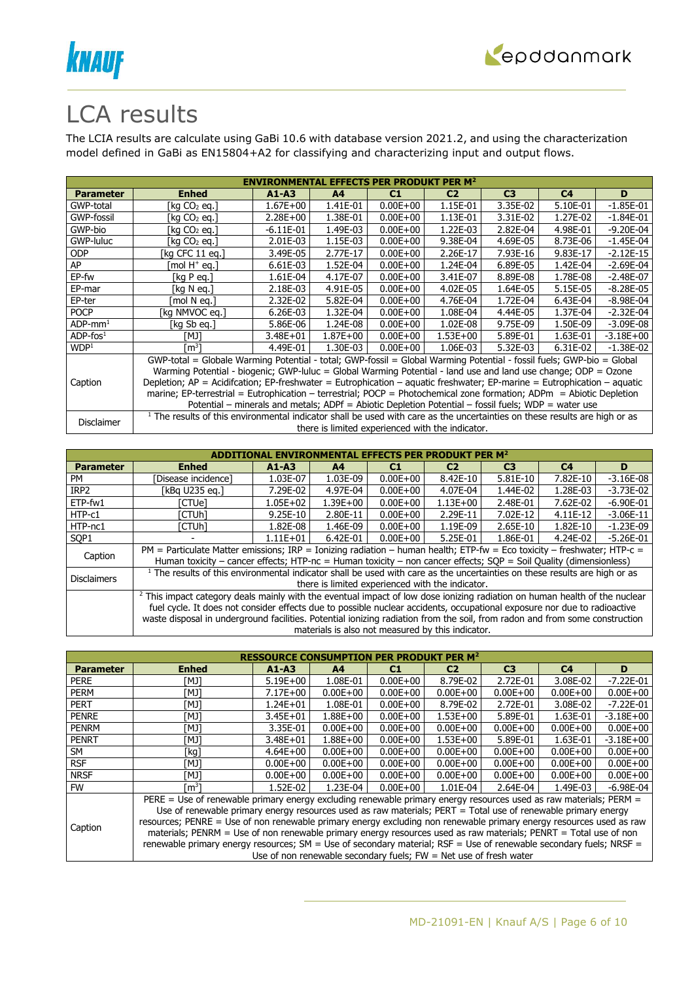



## LCA results

The LCIA results are calculate using GaBi 10.6 with database version 2021.2, and using the characterization model defined in GaBi as EN15804+A2 for classifying and characterizing input and output flows.

|                        | <b>ENVIRONMENTAL EFFECTS PER PRODUKT PER M<sup>2</sup></b>                                                     |              |                |              |                                                  |                                                                                                                                                                                                                                                                                                                                                                                                                                                                                                                                                                                                                            |                |               |  |  |
|------------------------|----------------------------------------------------------------------------------------------------------------|--------------|----------------|--------------|--------------------------------------------------|----------------------------------------------------------------------------------------------------------------------------------------------------------------------------------------------------------------------------------------------------------------------------------------------------------------------------------------------------------------------------------------------------------------------------------------------------------------------------------------------------------------------------------------------------------------------------------------------------------------------------|----------------|---------------|--|--|
| <b>Parameter</b>       | <b>Enhed</b>                                                                                                   | $A1 - A3$    | A <sup>4</sup> | C1           | C <sub>2</sub>                                   | C <sub>3</sub>                                                                                                                                                                                                                                                                                                                                                                                                                                                                                                                                                                                                             | C <sub>4</sub> | D             |  |  |
| GWP-total              | [kg CO2 eg.]                                                                                                   | $1.67E + 00$ | 1.41E-01       | $0.00E + 00$ | 1.15E-01                                         | 3.35E-02                                                                                                                                                                                                                                                                                                                                                                                                                                                                                                                                                                                                                   | 5.10E-01       | $-1.85E-01$   |  |  |
| GWP-fossil             | [kg CO2 eg.]                                                                                                   | $2.28E + 00$ | 1.38E-01       | $0.00E + 00$ | 1.13E-01                                         | 3.31E-02                                                                                                                                                                                                                                                                                                                                                                                                                                                                                                                                                                                                                   | 1.27E-02       | $-1.84E - 01$ |  |  |
| GWP-bio                | [kg CO2 eg.]                                                                                                   | $-6.11E-01$  | 1.49E-03       | $0.00E + 00$ | 1.22E-03                                         | 2.82E-04                                                                                                                                                                                                                                                                                                                                                                                                                                                                                                                                                                                                                   | 4.98E-01       | -9.20E-04     |  |  |
| GWP-luluc              | [kg CO2 eg.]                                                                                                   | 2.01E-03     | 1.15E-03       | $0.00E + 00$ | 9.38E-04                                         | 4.69E-05                                                                                                                                                                                                                                                                                                                                                                                                                                                                                                                                                                                                                   | 8.73E-06       | $-1.45E-04$   |  |  |
| <b>ODP</b>             | [kg CFC 11 eg.]                                                                                                | 3.49E-05     | 2.77E-17       | $0.00E + 00$ | 2.26E-17                                         | 7.93E-16                                                                                                                                                                                                                                                                                                                                                                                                                                                                                                                                                                                                                   | 9.83E-17       | $-2.12E-15$   |  |  |
| AP                     | mol H <sup>+</sup> eq.]                                                                                        | 6.61E-03     | 1.52E-04       | $0.00E + 00$ | 1.24E-04                                         | 6.89E-05                                                                                                                                                                                                                                                                                                                                                                                                                                                                                                                                                                                                                   | 1.42E-04       | $-2.69E-04$   |  |  |
| EP-fw                  | [kg P eq.]                                                                                                     | 1.61E-04     | 4.17E-07       | $0.00E + 00$ | 3.41E-07                                         | 8.89E-08                                                                                                                                                                                                                                                                                                                                                                                                                                                                                                                                                                                                                   | 1.78E-08       | $-2.48E - 07$ |  |  |
| EP-mar                 | [kg N eg.]                                                                                                     | 2.18E-03     | 4.91E-05       | $0.00E + 00$ | 4.02E-05                                         | 1.64E-05                                                                                                                                                                                                                                                                                                                                                                                                                                                                                                                                                                                                                   | 5.15E-05       | $-8.28E - 05$ |  |  |
| EP-ter                 | mol N ea.1                                                                                                     | 2.32E-02     | 5.82E-04       | $0.00E + 00$ | 4.76E-04                                         | 1.72E-04                                                                                                                                                                                                                                                                                                                                                                                                                                                                                                                                                                                                                   | 6.43E-04       | $-8.98E - 04$ |  |  |
| <b>POCP</b>            | [kg NMVOC eg.]                                                                                                 | 6.26E-03     | 1.32E-04       | $0.00E + 00$ | 1.08E-04                                         | 4.44E-05                                                                                                                                                                                                                                                                                                                                                                                                                                                                                                                                                                                                                   | 1.37E-04       | $-2.32E-04$   |  |  |
| $ADP$ -mm <sup>1</sup> | [kg Sb eg.]                                                                                                    | 5.86E-06     | 1.24E-08       | $0.00E + 00$ | 1.02E-08                                         | 9.75E-09                                                                                                                                                                                                                                                                                                                                                                                                                                                                                                                                                                                                                   | 1.50E-09       | $-3.09E-08$   |  |  |
| $ADP$ -fos $1$         | [MJ]                                                                                                           | $3.48E + 01$ | $1.87E + 00$   | $0.00E + 00$ | 1.53E+00                                         | 5.89E-01                                                                                                                                                                                                                                                                                                                                                                                                                                                                                                                                                                                                                   | 1.63E-01       | $-3.18E + 00$ |  |  |
| WDP <sup>1</sup>       | [m <sup>3</sup> ]                                                                                              | 4.49E-01     | 1.30E-03       | $0.00E + 00$ | 1.06E-03                                         | 5.32E-03                                                                                                                                                                                                                                                                                                                                                                                                                                                                                                                                                                                                                   | 6.31E-02       | $-1.38E-02$   |  |  |
|                        |                                                                                                                |              |                |              |                                                  |                                                                                                                                                                                                                                                                                                                                                                                                                                                                                                                                                                                                                            |                |               |  |  |
|                        | Warming Potential - biogenic; GWP-luluc = Global Warming Potential - land use and land use change; ODP = Ozone |              |                |              |                                                  |                                                                                                                                                                                                                                                                                                                                                                                                                                                                                                                                                                                                                            |                |               |  |  |
| Caption                |                                                                                                                |              |                |              |                                                  |                                                                                                                                                                                                                                                                                                                                                                                                                                                                                                                                                                                                                            |                |               |  |  |
|                        |                                                                                                                |              |                |              |                                                  |                                                                                                                                                                                                                                                                                                                                                                                                                                                                                                                                                                                                                            |                |               |  |  |
|                        |                                                                                                                |              |                |              |                                                  |                                                                                                                                                                                                                                                                                                                                                                                                                                                                                                                                                                                                                            |                |               |  |  |
|                        |                                                                                                                |              |                |              |                                                  |                                                                                                                                                                                                                                                                                                                                                                                                                                                                                                                                                                                                                            |                |               |  |  |
| Disclaimer             |                                                                                                                |              |                |              | there is limited experienced with the indicator. | GWP-total = Globale Warming Potential - total; GWP-fossil = Global Warming Potential - fossil fuels; GWP-bio = Global<br>Depletion; $AP =$ Acidifcation; EP-freshwater = Eutrophication – aquatic freshwater; EP-marine = Eutrophication – aquatic<br>marine; EP-terrestrial = Eutrophication – terrestrial; POCP = Photochemical zone formation; ADPm = Abiotic Depletion<br>Potential – minerals and metals; ADPf = Abiotic Depletion Potential – fossil fuels; WDP = water use<br><sup>1</sup> The results of this environmental indicator shall be used with care as the uncertainties on these results are high or as |                |               |  |  |

|                    |                                                                                                                                                                                                                                                                                                                                                                                                  |              |                |              | IVIRONMENTAL EFFECTS PER PRODUKT PER M $^{\rm 2}$ |                |                |               |
|--------------------|--------------------------------------------------------------------------------------------------------------------------------------------------------------------------------------------------------------------------------------------------------------------------------------------------------------------------------------------------------------------------------------------------|--------------|----------------|--------------|---------------------------------------------------|----------------|----------------|---------------|
| <b>Parameter</b>   | <b>Enhed</b>                                                                                                                                                                                                                                                                                                                                                                                     | $A1 - A3$    | A <sub>4</sub> | C1           | C <sub>2</sub>                                    | C <sub>3</sub> | C <sub>4</sub> | D             |
| <b>PM</b>          | [Disease incidence]                                                                                                                                                                                                                                                                                                                                                                              | 1.03E-07     | 1.03E-09       | $0.00E + 00$ | 8.42E-10                                          | $5.81E-10$     | 7.82E-10       | $-3.16E-08$   |
| IRP <sub>2</sub>   | [kBq U235 eq.]                                                                                                                                                                                                                                                                                                                                                                                   | 7.29E-02     | 4.97E-04       | $0.00E + 00$ | 4.07E-04                                          | 1.44E-02       | 1.28E-03       | $-3.73E-02$   |
| ETP-fw1            | [CTUe]                                                                                                                                                                                                                                                                                                                                                                                           | $1.05E + 02$ | $1.39E + 00$   | $0.00E + 00$ | $1.13E + 00$                                      | 2.48E-01       | 7.62E-02       | $-6.90E - 01$ |
| HTP-c1             | ัCTUhl                                                                                                                                                                                                                                                                                                                                                                                           | 9.25E-10     | 2.80E-11       | $0.00E + 00$ | 2.29E-11                                          | 7.02E-12       | 4.11E-12       | $-3.06E-11$   |
| HTP-nc1            | ัCTUhl                                                                                                                                                                                                                                                                                                                                                                                           | 1.82E-08     | 1.46E-09       | $0.00E + 00$ | 1.19E-09                                          | 2.65E-10       | 1.82E-10       | $-1.23E-09$   |
| SOP <sub>1</sub>   |                                                                                                                                                                                                                                                                                                                                                                                                  | $1.11F + 01$ | $6.42E - 01$   | $0.00E + 00$ | 5.25E-01                                          | 1.86E-01       | 4.24E-02       | $-5.26E - 01$ |
| Caption            | $PM =$ Particulate Matter emissions; IRP = Ionizing radiation – human health; ETP-fw = Eco toxicity – freshwater; HTP-c =<br>Human toxicity – cancer effects; HTP-nc = Human toxicity – non cancer effects; SQP = Soil Quality (dimensionless)                                                                                                                                                   |              |                |              |                                                   |                |                |               |
| <b>Disclaimers</b> | <sup>1</sup> The results of this environmental indicator shall be used with care as the uncertainties on these results are high or as                                                                                                                                                                                                                                                            |              |                |              | there is limited experienced with the indicator.  |                |                |               |
|                    | <sup>2</sup> This impact category deals mainly with the eventual impact of low dose ionizing radiation on human health of the nuclear<br>fuel cycle. It does not consider effects due to possible nuclear accidents, occupational exposure nor due to radioactive<br>waste disposal in underground facilities. Potential ionizing radiation from the soil, from radon and from some construction |              |                |              | materials is also not measured by this indicator. |                |                |               |

| <b>RESSOURCE CON</b> |                                                                                                                      |                                                                                                               |                |                |                |                |                |               |  |  |
|----------------------|----------------------------------------------------------------------------------------------------------------------|---------------------------------------------------------------------------------------------------------------|----------------|----------------|----------------|----------------|----------------|---------------|--|--|
| <b>Parameter</b>     | <b>Enhed</b>                                                                                                         | $A1 - A3$                                                                                                     | A <sub>4</sub> | C <sub>1</sub> | C <sub>2</sub> | C <sub>3</sub> | C <sub>4</sub> | D             |  |  |
| <b>PERE</b>          | TMJ1                                                                                                                 | $5.19E+00$                                                                                                    | 1.08E-01       | $0.00E + 00$   | 8.79E-02       | 2.72E-01       | 3.08E-02       | $-7.22E - 01$ |  |  |
| <b>PERM</b>          | [MJ]                                                                                                                 | $7.17E + 00$                                                                                                  | $0.00E + 00$   | $0.00E + 00$   | $0.00E + 00$   | $0.00E + 00$   | $0.00E + 00$   | $0.00E + 00$  |  |  |
| <b>PERT</b>          | [MJ]                                                                                                                 | $1.24E + 01$                                                                                                  | 1.08E-01       | $0.00E + 00$   | 8.79E-02       | 2.72E-01       | 3.08E-02       | $-7.22E-01$   |  |  |
| <b>PENRE</b>         | [MJ]                                                                                                                 | $3.45E + 01$                                                                                                  | $1.88E + 00$   | $0.00E + 00$   | $1.53E + 00$   | 5.89E-01       | 1.63E-01       | $-3.18E + 00$ |  |  |
| <b>PENRM</b>         | [MJ]                                                                                                                 | 3.35E-01                                                                                                      | $0.00E + 00$   | $0.00E + 00$   | $0.00E + 00$   | $0.00E + 00$   | $0.00E + 00$   | $0.00E + 00$  |  |  |
| <b>PENRT</b>         | [MJ]                                                                                                                 | 3.48E+01                                                                                                      | 1.88E+00       | $0.00E + 00$   | $1.53E + 00$   | 5.89E-01       | 1.63E-01       | $-3.18E + 00$ |  |  |
| SM                   | [kg]                                                                                                                 | $4.64E + 00$                                                                                                  | $0.00E + 00$   | $0.00E + 00$   | $0.00E + 00$   | $0.00E + 00$   | $0.00E + 00$   | $0.00E + 00$  |  |  |
| <b>RSF</b>           | [MJ]                                                                                                                 | $0.00E + 00$                                                                                                  | $0.00E + 00$   | $0.00E + 00$   | $0.00E + 00$   | $0.00E + 00$   | $0.00E + 00$   | $0.00E + 00$  |  |  |
| <b>NRSF</b>          | [MJ]                                                                                                                 | $0.00E + 00$                                                                                                  | $0.00E + 00$   | $0.00E + 00$   | $0.00E + 00$   | $0.00E + 00$   | $0.00E + 00$   | $0.00E + 00$  |  |  |
| <b>FW</b>            | rm31                                                                                                                 | 1.52E-02                                                                                                      | 1.23E-04       | $0.00E + 00$   | 1.01E-04       | 2.64E-04       | 1.49E-03       | $-6.98E - 04$ |  |  |
|                      | PERE = Use of renewable primary energy excluding renewable primary energy resources used as raw materials; PERM =    |                                                                                                               |                |                |                |                |                |               |  |  |
|                      |                                                                                                                      | Use of renewable primary energy resources used as raw materials; PERT = Total use of renewable primary energy |                |                |                |                |                |               |  |  |
|                      | resources; PENRE = Use of non renewable primary energy excluding non renewable primary energy resources used as raw  |                                                                                                               |                |                |                |                |                |               |  |  |
| Caption              | materials; PENRM = Use of non renewable primary energy resources used as raw materials; PENRT = Total use of non     |                                                                                                               |                |                |                |                |                |               |  |  |
|                      | renewable primary energy resources; SM = Use of secondary material; $RSF = Use$ of renewable secondary fuels; NRSF = |                                                                                                               |                |                |                |                |                |               |  |  |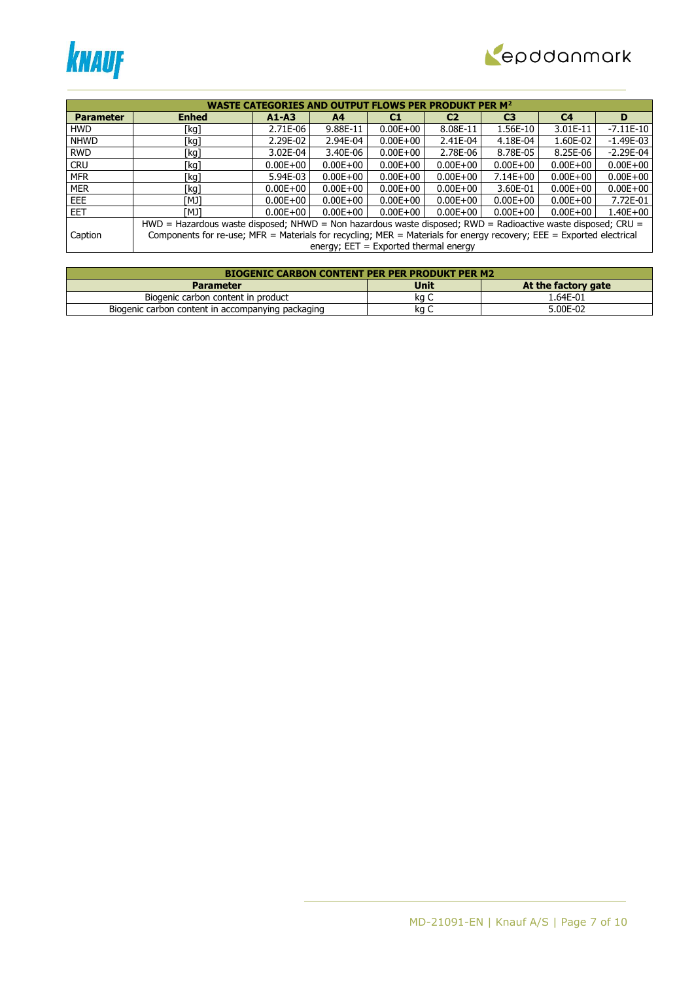



|                  | <b>PER M<sup>2</sup></b><br><b>WASTE CATEGORIES</b><br>WS PER PRODUKT                                                |                                                                                                              |                                         |              |              |              |              |              |  |  |  |
|------------------|----------------------------------------------------------------------------------------------------------------------|--------------------------------------------------------------------------------------------------------------|-----------------------------------------|--------------|--------------|--------------|--------------|--------------|--|--|--|
|                  | <b>Enhed</b><br>C <sub>3</sub><br>C <sub>4</sub><br>$A1 - A3$<br>C <sub>2</sub><br>C1<br>A <sub>4</sub>              |                                                                                                              |                                         |              |              |              |              |              |  |  |  |
| <b>Parameter</b> |                                                                                                                      |                                                                                                              |                                         |              |              |              |              | D            |  |  |  |
| <b>HWD</b>       | [kg]                                                                                                                 | 2.71E-06                                                                                                     | 9.88E-11                                | $0.00E + 00$ | 8.08E-11     | 1.56E-10     | 3.01E-11     | $-7.11E-10$  |  |  |  |
| <b>NHWD</b>      | [kg]                                                                                                                 | 2.29E-02                                                                                                     | 2.94E-04                                | $0.00E + 00$ | 2.41E-04     | 4.18E-04     | 1.60E-02     | $-1.49E-03$  |  |  |  |
| <b>RWD</b>       | [kg]                                                                                                                 | 3.02E-04                                                                                                     | 3.40E-06                                | $0.00E + 00$ | 2.78E-06     | 8.78E-05     | 8.25E-06     | $-2.29E-04$  |  |  |  |
| <b>CRU</b>       | [kg]                                                                                                                 | $0.00E + 00$                                                                                                 | $0.00E + 00$                            | $0.00E + 00$ | $0.00E + 00$ | $0.00E + 00$ | $0.00E + 00$ | $0.00E + 00$ |  |  |  |
| <b>MFR</b>       | [kg]                                                                                                                 | 5.94E-03                                                                                                     | $0.00E + 00$                            | $0.00E + 00$ | $0.00E + 00$ | $7.14E + 00$ | $0.00E + 00$ | $0.00E + 00$ |  |  |  |
| <b>MER</b>       | [kg]                                                                                                                 | $0.00E + 00$                                                                                                 | $0.00E + 00$                            | $0.00E + 00$ | $0.00E + 00$ | 3.60E-01     | $0.00E + 00$ | $0.00E + 00$ |  |  |  |
| EEE.             | [MJ]                                                                                                                 | $0.00E + 00$                                                                                                 | $0.00E + 00$                            | $0.00E + 00$ | $0.00E + 00$ | $0.00E + 00$ | $0.00E + 00$ | 7.72E-01     |  |  |  |
| <b>EET</b>       | TMJ1                                                                                                                 | $0.00E + 00$                                                                                                 | $0.00E + 00$                            | $0.00E + 00$ | $0.00E + 00$ | $0.00E + 00$ | $0.00E + 00$ | $1.40E + 00$ |  |  |  |
|                  |                                                                                                                      | HWD = Hazardous waste disposed; NHWD = Non hazardous waste disposed; RWD = Radioactive waste disposed; CRU = |                                         |              |              |              |              |              |  |  |  |
| Caption          | Components for re-use; MFR = Materials for recycling; MER = Materials for energy recovery; EEE = Exported electrical |                                                                                                              |                                         |              |              |              |              |              |  |  |  |
|                  |                                                                                                                      |                                                                                                              | energy; $EET = Exported thermal energy$ |              |              |              |              |              |  |  |  |

| <b>BIOGENIC CARBON CONTENT PER PER PRODUKT PER M2</b> |             |                     |  |  |  |  |  |  |
|-------------------------------------------------------|-------------|---------------------|--|--|--|--|--|--|
| <b>Parameter</b>                                      | <b>Unit</b> | At the factory gate |  |  |  |  |  |  |
| Biogenic carbon content in product                    | ka C        | 1.64E-01            |  |  |  |  |  |  |
| Biogenic carbon content in accompanying packaging     | ka          | 5.00E-02            |  |  |  |  |  |  |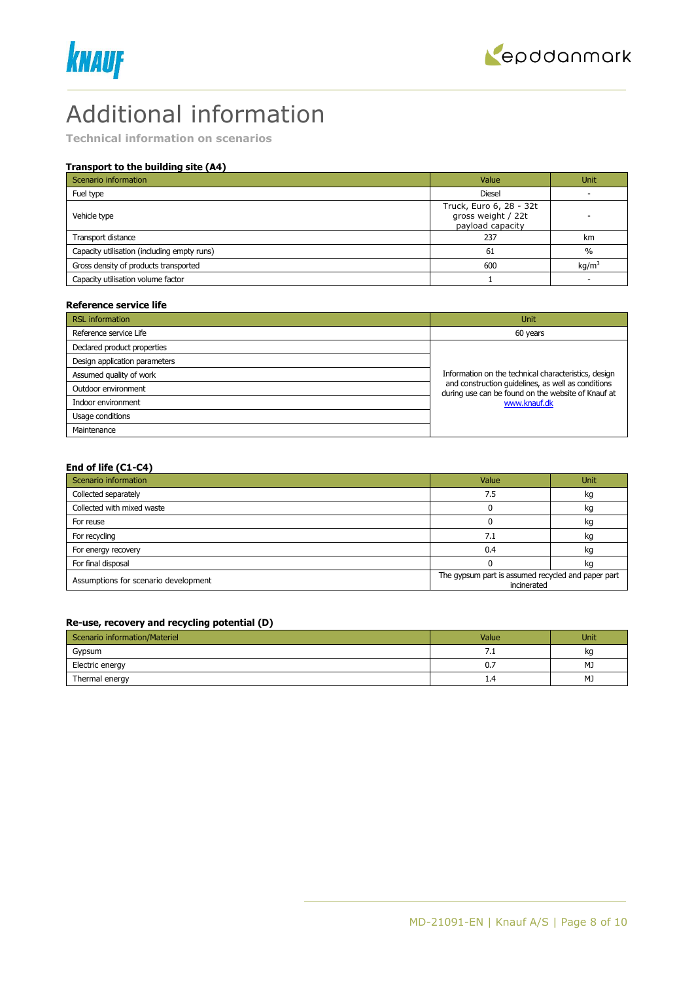



## Additional information

**Technical information on scenarios**

#### **Transport to the building site (A4)**

| Scenario information                        | Value                                                             | Unit              |
|---------------------------------------------|-------------------------------------------------------------------|-------------------|
| Fuel type                                   | <b>Diesel</b>                                                     |                   |
| Vehicle type                                | Truck, Euro 6, 28 - 32t<br>gross weight / 22t<br>payload capacity |                   |
| Transport distance                          | 237                                                               | km                |
| Capacity utilisation (including empty runs) | 61                                                                | $\%$              |
| Gross density of products transported       | 600                                                               | kg/m <sup>3</sup> |
| Capacity utilisation volume factor          |                                                                   |                   |

#### **Reference service life**

| <b>RSL</b> information        | Unit                                                                                                     |
|-------------------------------|----------------------------------------------------------------------------------------------------------|
| Reference service Life        | 60 years                                                                                                 |
| Declared product properties   |                                                                                                          |
| Design application parameters |                                                                                                          |
| Assumed quality of work       | Information on the technical characteristics, design                                                     |
| Outdoor environment           | and construction quidelines, as well as conditions<br>during use can be found on the website of Knauf at |
| Indoor environment            | www.knauf.dk                                                                                             |
| Usage conditions              |                                                                                                          |
| Maintenance                   |                                                                                                          |

#### **End of life (C1-C4)**

| Scenario information                 | Value                                                             | <b>Unit</b> |  |
|--------------------------------------|-------------------------------------------------------------------|-------------|--|
| Collected separately                 | 7.5                                                               | kg          |  |
| Collected with mixed waste           |                                                                   | kg          |  |
| For reuse                            |                                                                   | kg          |  |
| For recycling                        | 7.1                                                               | kg          |  |
| For energy recovery                  | 0.4                                                               | kq          |  |
| For final disposal                   |                                                                   | kg          |  |
| Assumptions for scenario development | The gypsum part is assumed recycled and paper part<br>incinerated |             |  |

#### **Re-use, recovery and recycling potential (D)**

| Scenario information/Materiel | Value          | Unit |
|-------------------------------|----------------|------|
| Gypsum                        | $\overline{1}$ | kq   |
| Electric energy               | 0.7            | MJ   |
| Thermal energy                | 1,4            | MJ   |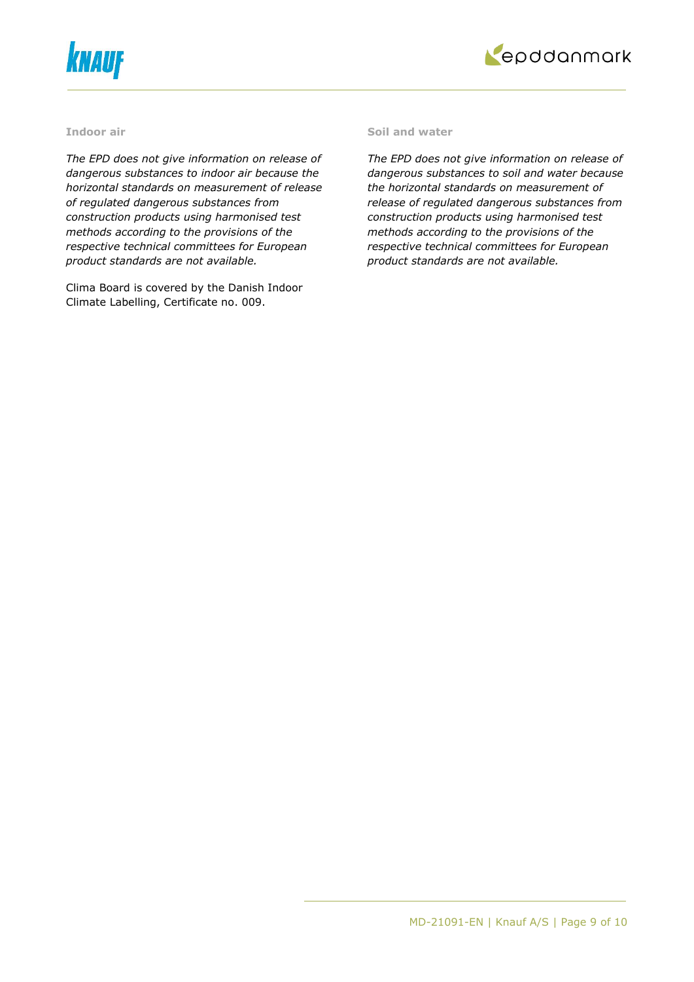



#### **Indoor air**

*The EPD does not give information on release of dangerous substances to indoor air because the horizontal standards on measurement of release of regulated dangerous substances from construction products using harmonised test methods according to the provisions of the respective technical committees for European product standards are not available.*

Clima Board is covered by the Danish Indoor Climate Labelling, Certificate no. 009.

#### **Soil and water**

*The EPD does not give information on release of dangerous substances to soil and water because the horizontal standards on measurement of release of regulated dangerous substances from construction products using harmonised test methods according to the provisions of the respective technical committees for European product standards are not available.*